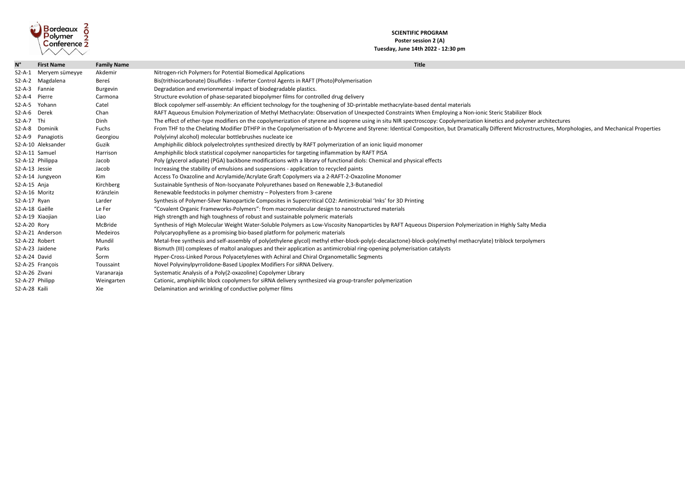

## **SCIENTIFIC PROGRAM Poster session 2 (A) Tuesday, June 14th 2022 - 12:30 pm**

| $N^{\circ}$     | <b>First Name</b>  | <b>Family Name</b> | <b>Title</b>                                                                                                                                |
|-----------------|--------------------|--------------------|---------------------------------------------------------------------------------------------------------------------------------------------|
| $S2-A-1$        | Meryem sümeyye     | Akdemir            | Nitrogen-rich Polymers for Potential Biomedical Applications                                                                                |
| $S2-A-2$        | Magdalena          | Bereś              | Bis(trithiocarbonate) Disulfides - Iniferter Control Agents in RAFT (Photo)Polymerisation                                                   |
| $S2-A-3$        | Fannie             | <b>Burgevin</b>    | Degradation and envrionmental impact of biodegradable plastics.                                                                             |
| $S2-A-4$        | Pierre             | Carmona            | Structure evolution of phase-separated biopolymer films for controlled drug delivery                                                        |
| $S2-A-5$        | Yohann             | Catel              | Block copolymer self-assembly: An efficient technology for the toughening of 3D-printable methacrylate-based dental materials               |
| S2-A-6 Derek    |                    | Chan               | RAFT Aqueous Emulsion Polymerization of Methyl Methacrylate: Observation of Unexpected Constraints When Employing a No                      |
| $S2-A-7$        | Thi                | Dinh               | The effect of ether-type modifiers on the copolymerization of styrene and isoprene using in situ NIR spectroscopy: Copolymeriz              |
| $S2-A-8$        | Dominik            | Fuchs              | From THF to the Chelating Modifier DTHFP in the Copolymerisation of b-Myrcene and Styrene: Identical Composition, but Dram                  |
|                 | S2-A-9 Panagiotis  | Georgiou           | Poly(vinyl alcohol) molecular bottlebrushes nucleate ice                                                                                    |
|                 | S2-A-10 Aleksander | Guzik              | Amphiphilic diblock polyelectrolytes synthesized directly by RAFT polymerization of an ionic liquid monomer                                 |
| S2-A-11 Samuel  |                    | Harrison           | Amphiphilic block statistical copolymer nanoparticles for targeting inflammation by RAFT PISA                                               |
|                 | S2-A-12 Philippa   | Jacob              | Poly (glycerol adipate) (PGA) backbone modifications with a library of functional diols: Chemical and physical effects                      |
| S2-A-13 Jessie  |                    | Jacob              | Increasing the stability of emulsions and suspensions - application to recycled paints                                                      |
|                 | S2-A-14 Jungyeon   | Kim                | Access To Oxazoline and Acrylamide/Acrylate Graft Copolymers via a 2-RAFT-2-Oxazoline Monomer                                               |
| S2-A-15 Anja    |                    | Kirchberg          | Sustainable Synthesis of Non-Isocyanate Polyurethanes based on Renewable 2,3-Butanediol                                                     |
| S2-A-16 Moritz  |                    | Kränzlein          | Renewable feedstocks in polymer chemistry – Polyesters from 3-carene                                                                        |
| $S2-A-17$ Ryan  |                    | Larder             | Synthesis of Polymer-Silver Nanoparticle Composites in Supercritical CO2: Antimicrobial 'Inks' for 3D Printing                              |
| S2-A-18 Gaëlle  |                    | Le Fer             | "Covalent Organic Frameworks-Polymers": from macromolecular design to nanostructured materials                                              |
|                 | S2-A-19 Xiaojian   | Liao               | High strength and high toughness of robust and sustainable polymeric materials                                                              |
| S2-A-20 Rory    |                    | McBride            | Synthesis of High Molecular Weight Water-Soluble Polymers as Low-Viscosity Nanoparticles by RAFT Aqueous Dispersion Polym                   |
|                 | S2-A-21 Anderson   | Medeiros           | Polycaryophyllene as a promising bio-based platform for polymeric materials                                                                 |
| S2-A-22 Robert  |                    | Mundil             | Metal-free synthesis and self-assembly of poly(ethylene glycol) methyl ether-block-poly( $\varepsilon$ -decalactone)-block-poly(methyl meth |
| S2-A-23 Jaidene |                    | Parks              | Bismuth (III) complexes of maltol analogues and their application as antimicrobial ring-opening polymerisation catalysts                    |
| S2-A-24 David   |                    | Šorm               | Hyper-Cross-Linked Porous Polyacetylenes with Achiral and Chiral Organometallic Segments                                                    |
|                 | S2-A-25 François   | Toussaint          | Novel Polyvinylpyrrolidone-Based Lipoplex Modifiers For siRNA Delivery.                                                                     |
| S2-A-26 Zivani  |                    | Varanaraja         | Systematic Analysis of a Poly(2-oxazoline) Copolymer Library                                                                                |
| S2-A-27 Philipp |                    | Weingarten         | Cationic, amphiphilic block copolymers for siRNA delivery synthesized via group-transfer polymerization                                     |
| S2-A-28 Kaili   |                    | Xie                | Delamination and wrinkling of conductive polymer films                                                                                      |

, a Non-ionic Steric Stabilizer Block

merization kinetics and polymer architectures

Dramatically Different Microstructures, Morphologies, and Mechanical Properties

<sup>2</sup>olymerization in Highly Salty Media

methacrylate) triblock terpolymers